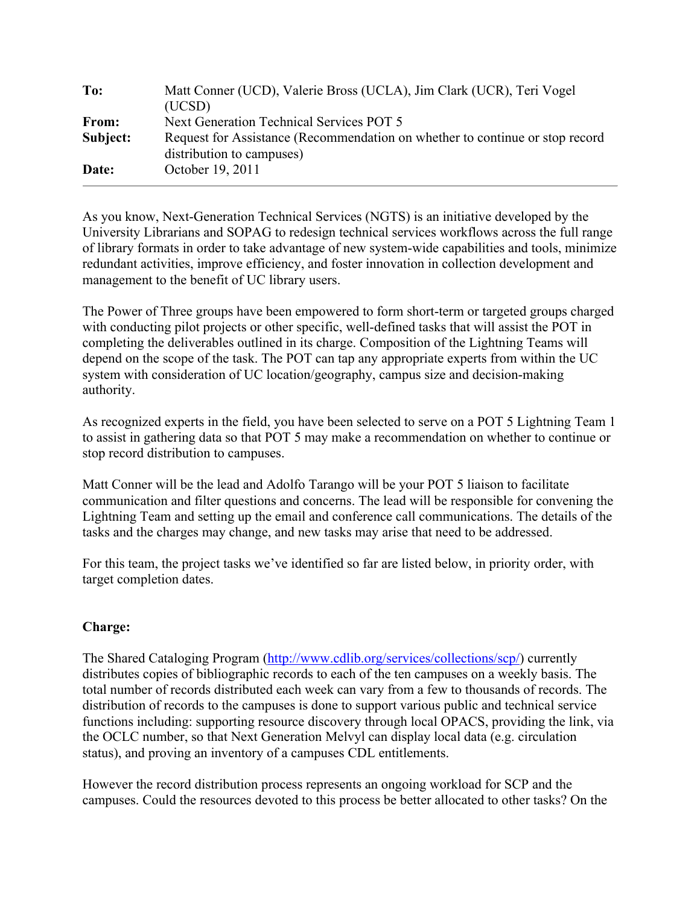| To:      | Matt Conner (UCD), Valerie Bross (UCLA), Jim Clark (UCR), Teri Vogel<br>(UCSD)                            |
|----------|-----------------------------------------------------------------------------------------------------------|
| From:    | Next Generation Technical Services POT 5                                                                  |
| Subject: | Request for Assistance (Recommendation on whether to continue or stop record<br>distribution to campuses) |
| Date:    | October 19, 2011                                                                                          |

As you know, Next-Generation Technical Services (NGTS) is an initiative developed by the University Librarians and SOPAG to redesign technical services workflows across the full range of library formats in order to take advantage of new system-wide capabilities and tools, minimize redundant activities, improve efficiency, and foster innovation in collection development and management to the benefit of UC library users.

The Power of Three groups have been empowered to form short-term or targeted groups charged with conducting pilot projects or other specific, well-defined tasks that will assist the POT in completing the deliverables outlined in its charge. Composition of the Lightning Teams will depend on the scope of the task. The POT can tap any appropriate experts from within the UC system with consideration of UC location/geography, campus size and decision-making authority.

As recognized experts in the field, you have been selected to serve on a POT 5 Lightning Team 1 to assist in gathering data so that POT 5 may make a recommendation on whether to continue or stop record distribution to campuses.

Matt Conner will be the lead and Adolfo Tarango will be your POT 5 liaison to facilitate communication and filter questions and concerns. The lead will be responsible for convening the Lightning Team and setting up the email and conference call communications. The details of the tasks and the charges may change, and new tasks may arise that need to be addressed.

For this team, the project tasks we've identified so far are listed below, in priority order, with target completion dates.

# **Charge:**

The Shared Cataloging Program (http://www.cdlib.org/services/collections/scp/) currently distributes copies of bibliographic records to each of the ten campuses on a weekly basis. The total number of records distributed each week can vary from a few to thousands of records. The distribution of records to the campuses is done to support various public and technical service functions including: supporting resource discovery through local OPACS, providing the link, via the OCLC number, so that Next Generation Melvyl can display local data (e.g. circulation status), and proving an inventory of a campuses CDL entitlements.

However the record distribution process represents an ongoing workload for SCP and the campuses. Could the resources devoted to this process be better allocated to other tasks? On the